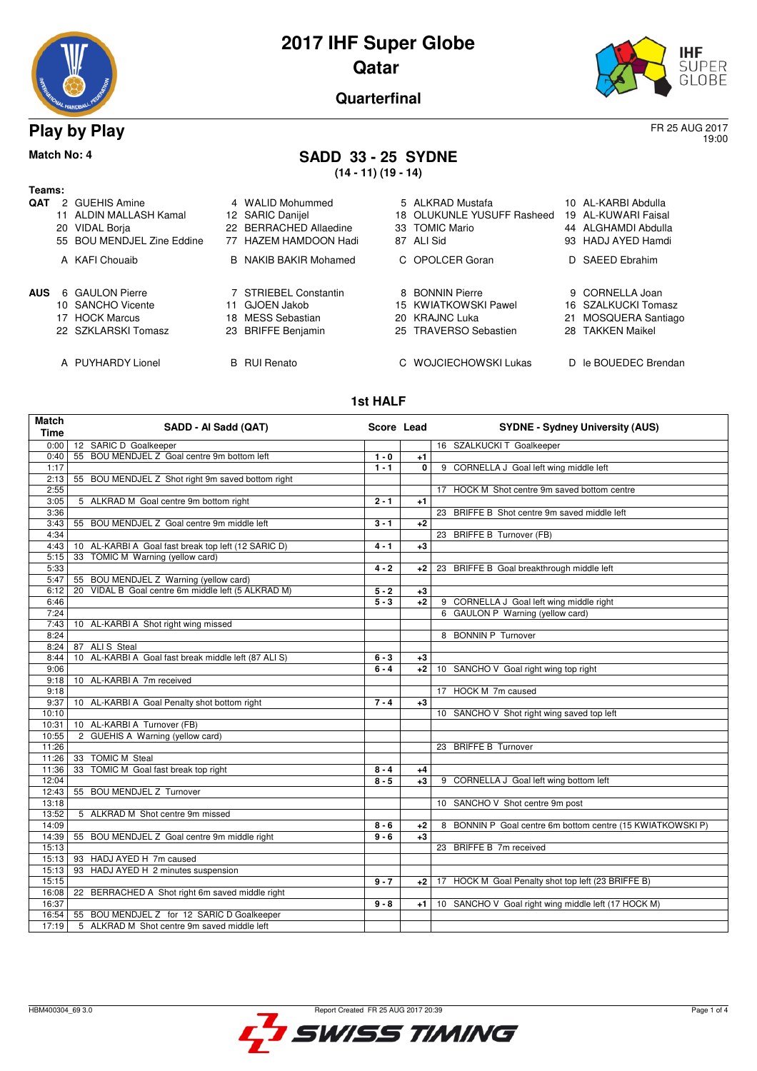



19:00

**Quarterfinal**

### **Play by Play** FR 25 AUG 2017

## **Match No: 4 SADD 33 - 25 SYDNE**

**(14 - 11) (19 - 14)**

| Teams:     |                      |                                                                                                    |    |                                                                                         |    |                                                                             |     |                                                                                         |
|------------|----------------------|----------------------------------------------------------------------------------------------------|----|-----------------------------------------------------------------------------------------|----|-----------------------------------------------------------------------------|-----|-----------------------------------------------------------------------------------------|
| QAT        | 2<br>11<br>20<br>55. | <b>GUEHIS Amine</b><br>ALDIN MALLASH Kamal<br><b>VIDAL Borja</b><br><b>BOU MENDJEL Zine Eddine</b> |    | 4 WALID Mohummed<br>12 SARIC Danijel<br>22 BERRACHED Allaedine<br>77 HAZEM HAMDOON Hadi | 87 | 5 ALKRAD Mustafa<br>18 OLUKUNLE YUSUFF Rasheed<br>33 TOMIC Mario<br>ALI Sid |     | 10 AL-KARBI Abdulla<br>19 AL-KUWARI Faisal<br>44 ALGHAMDI Abdulla<br>93 HADJ AYED Hamdi |
|            |                      | A KAFI Chouaib                                                                                     |    | <b>B</b> NAKIB BAKIR Mohamed                                                            |    | C OPOLCER Goran                                                             |     | D SAEED Ebrahim                                                                         |
| <b>AUS</b> |                      | 6 GAULON Pierre                                                                                    |    | 7 STRIEBEL Constantin                                                                   |    | 8 BONNIN Pierre                                                             |     | 9 CORNELLA Joan                                                                         |
|            |                      | 10 SANCHO Vicente                                                                                  | 11 | GJOEN Jakob                                                                             |    | 15 KWIATKOWSKI Pawel                                                        |     | 16 SZALKUCKI Tomasz                                                                     |
|            |                      | <b>HOCK Marcus</b>                                                                                 |    | 18 MESS Sebastian                                                                       |    | 20 KRAJNC Luka                                                              |     |                                                                                         |
|            | 17                   |                                                                                                    |    |                                                                                         |    |                                                                             | 21  | MOSQUERA Santiago                                                                       |
|            |                      | 22 SZKLARSKI Tomasz                                                                                | 23 | <b>BRIFFE Benjamin</b>                                                                  |    | 25 TRAVERSO Sebastien                                                       | 28. | <b>TAKKEN Maikel</b>                                                                    |
|            |                      | A PUYHARDY Lionel                                                                                  |    | <b>B</b> RUI Renato                                                                     |    | C WOJCIECHOWSKI Lukas                                                       |     | D le BOUEDEC Brendan                                                                    |

#### **1st HALF**

| <b>Match</b><br><b>Time</b> | SADD - Al Sadd (QAT)                                  | Score Lead |              | <b>SYDNE - Sydney University (AUS)</b>                     |
|-----------------------------|-------------------------------------------------------|------------|--------------|------------------------------------------------------------|
| 0:00                        | 12 SARIC D Goalkeeper                                 |            |              | 16 SZALKUCKI T Goalkeeper                                  |
| 0:40                        | BOU MENDJEL Z Goal centre 9m bottom left<br>55        | $1 - 0$    | +1           |                                                            |
| 1:17                        |                                                       | $1 - 1$    | $\mathbf{0}$ | 9 CORNELLA J Goal left wing middle left                    |
| 2:13                        | 55 BOU MENDJEL Z Shot right 9m saved bottom right     |            |              |                                                            |
| 2:55                        |                                                       |            |              | 17 HOCK M Shot centre 9m saved bottom centre               |
| 3:05                        | 5 ALKRAD M Goal centre 9m bottom right                | $2 - 1$    | $+1$         |                                                            |
| 3:36                        |                                                       |            |              | 23 BRIFFE B Shot centre 9m saved middle left               |
| 3:43                        | 55 BOU MENDJEL Z Goal centre 9m middle left           | $3 - 1$    | $+2$         |                                                            |
| 4:34                        |                                                       |            |              | 23 BRIFFE B Turnover (FB)                                  |
| 4:43                        | 10 AL-KARBI A Goal fast break top left (12 SARIC D)   | $4 - 1$    | $+3$         |                                                            |
| 5:15                        | 33 TOMIC M Warning (yellow card)                      |            |              |                                                            |
| 5:33                        |                                                       | $4 - 2$    | +2           | 23 BRIFFE B Goal breakthrough middle left                  |
| 5:47                        | 55 BOU MENDJEL Z Warning (yellow card)                |            |              |                                                            |
| 6:12                        | VIDAL B Goal centre 6m middle left (5 ALKRAD M)<br>20 | $5 - 2$    | $+3$         |                                                            |
| 6:46                        |                                                       | $5 - 3$    | $+2$         | 9 CORNELLA J Goal left wing middle right                   |
| 7:24                        |                                                       |            |              | 6 GAULON P Warning (yellow card)                           |
| 7:43                        | 10 AL-KARBI A Shot right wing missed                  |            |              |                                                            |
| 8:24                        |                                                       |            |              | 8 BONNIN P Turnover                                        |
| 8:24                        | 87 ALIS Steal                                         |            |              |                                                            |
| 8:44                        | 10 AL-KARBI A Goal fast break middle left (87 ALI S)  | $6 - 3$    | $+3$         |                                                            |
| 9:06                        |                                                       | $6 - 4$    | $+2$         | 10 SANCHO V Goal right wing top right                      |
| 9:18                        | 10 AL-KARBI A 7m received                             |            |              |                                                            |
| 9:18                        |                                                       |            |              | 17 HOCK M 7m caused                                        |
| 9:37                        | 10 AL-KARBI A Goal Penalty shot bottom right          | $7 - 4$    | $+3$         |                                                            |
| 10:10                       |                                                       |            |              | 10 SANCHO V Shot right wing saved top left                 |
| 10:31                       | 10 AL-KARBI A Turnover (FB)                           |            |              |                                                            |
| 10:55                       | 2 GUEHIS A Warning (yellow card)                      |            |              |                                                            |
| 11:26                       |                                                       |            |              | 23 BRIFFE B Turnover                                       |
| 11:26                       | 33 TOMIC M Steal                                      |            |              |                                                            |
| 11:36                       | TOMIC M Goal fast break top right<br>33               | $8 - 4$    | +4           |                                                            |
| 12:04                       |                                                       | $8 - 5$    | $+3$         | 9 CORNELLA J Goal left wing bottom left                    |
| 12:43                       | 55 BOU MENDJEL Z Turnover                             |            |              |                                                            |
| 13:18                       |                                                       |            |              | 10 SANCHO V Shot centre 9m post                            |
| 13:52                       | 5 ALKRAD M Shot centre 9m missed                      |            |              |                                                            |
| 14:09                       |                                                       | $8 - 6$    | $+2$         | 8 BONNIN P Goal centre 6m bottom centre (15 KWIATKOWSKI P) |
| 14:39                       | 55 BOU MENDJEL Z Goal centre 9m middle right          | $9 - 6$    | $+3$         |                                                            |
| 15:13                       |                                                       |            |              | 23 BRIFFE B 7m received                                    |
| 15:13                       | 93 HADJ AYED H 7m caused                              |            |              |                                                            |
| 15:13                       | 93 HADJ AYED H 2 minutes suspension                   |            |              |                                                            |
| 15:15                       |                                                       | $9 - 7$    | +2 l         | 17 HOCK M Goal Penalty shot top left (23 BRIFFE B)         |
| 16:08                       | BERRACHED A Shot right 6m saved middle right<br>22    |            |              |                                                            |
| 16:37                       |                                                       | $9 - 8$    | +1 l         | 10 SANCHO V Goal right wing middle left (17 HOCK M)        |
| 16:54                       | 55 BOU MENDJEL Z for 12 SARIC D Goalkeeper            |            |              |                                                            |
| 17:19                       | 5 ALKRAD M Shot centre 9m saved middle left           |            |              |                                                            |

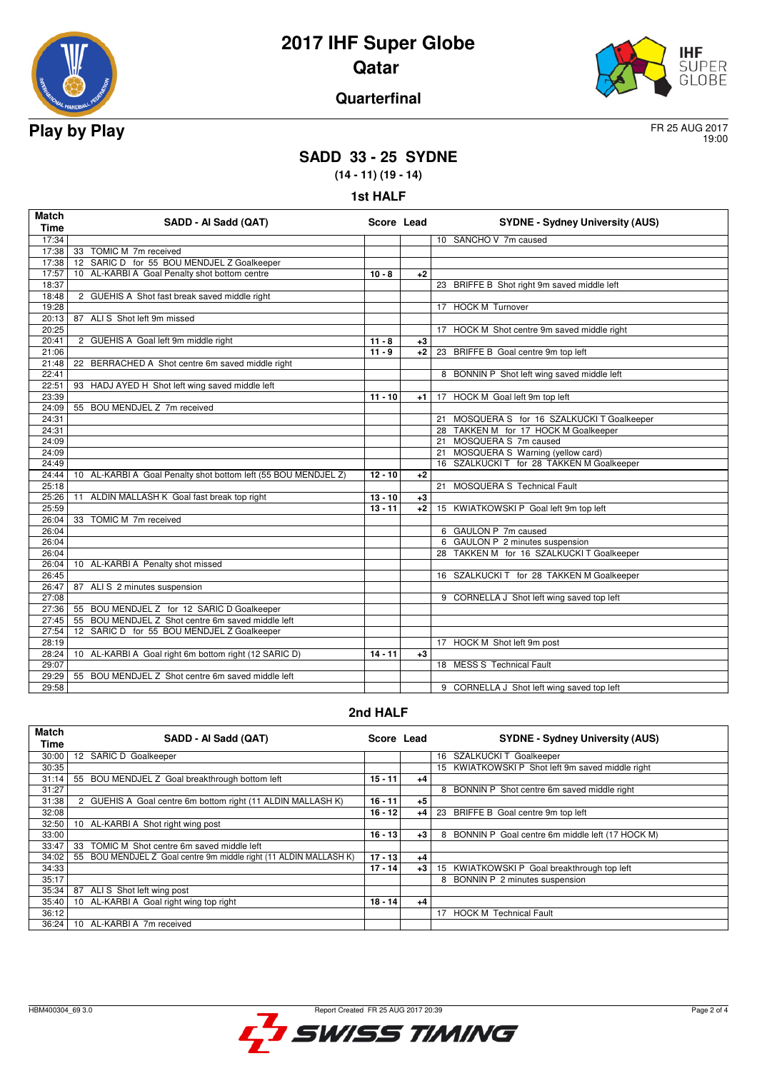



### **Quarterfinal**

19:00

# **SADD 33 - 25 SYDNE**

**(14 - 11) (19 - 14)**

**1st HALF**

| <b>Match</b><br><b>Time</b> | SADD - Al Sadd (QAT)                                           | Score Lead |      | <b>SYDNE - Sydney University (AUS)</b>         |
|-----------------------------|----------------------------------------------------------------|------------|------|------------------------------------------------|
| 17:34                       |                                                                |            |      | 10 SANCHO V 7m caused                          |
| 17:38                       | 33 TOMIC M 7m received                                         |            |      |                                                |
| 17:38                       | 12 SARIC D for 55 BOU MENDJEL Z Goalkeeper                     |            |      |                                                |
| 17:57                       | 10 AL-KARBI A Goal Penalty shot bottom centre                  | $10 - 8$   | $+2$ |                                                |
| 18:37                       |                                                                |            |      | 23 BRIFFE B Shot right 9m saved middle left    |
| 18:48                       | 2 GUEHIS A Shot fast break saved middle right                  |            |      |                                                |
| 19:28                       |                                                                |            |      | 17 HOCK M Turnover                             |
| 20:13                       | 87 ALIS Shot left 9m missed                                    |            |      |                                                |
| 20:25                       |                                                                |            |      | HOCK M Shot centre 9m saved middle right<br>17 |
| 20:41                       | 2 GUEHIS A Goal left 9m middle right                           | $11 - 8$   | $+3$ |                                                |
| 21:06                       |                                                                | $11 - 9$   | $+2$ | 23 BRIFFE B Goal centre 9m top left            |
| 21:48                       | 22 BERRACHED A Shot centre 6m saved middle right               |            |      |                                                |
| 22:41                       |                                                                |            |      | 8 BONNIN P Shot left wing saved middle left    |
| 22:51                       | 93 HADJ AYED H Shot left wing saved middle left                |            |      |                                                |
| 23:39                       |                                                                | $11 - 10$  | $+1$ | 17 HOCK M Goal left 9m top left                |
| 24:09                       | 55 BOU MENDJEL Z 7m received                                   |            |      |                                                |
| 24:31                       |                                                                |            |      | 21 MOSQUERA S for 16 SZALKUCKI T Goalkeeper    |
| 24:31                       |                                                                |            |      | 28 TAKKEN M for 17 HOCK M Goalkeeper           |
| 24:09                       |                                                                |            |      | 21 MOSQUERA S 7m caused                        |
| 24:09                       |                                                                |            |      | 21 MOSQUERA S Warning (yellow card)            |
| 24:49                       |                                                                |            |      | 16 SZALKUCKI T for 28 TAKKEN M Goalkeeper      |
| 24:44                       | 10 AL-KARBI A Goal Penalty shot bottom left (55 BOU MENDJEL Z) | $12 - 10$  | $+2$ |                                                |
| 25:18                       |                                                                |            |      | MOSQUERA S Technical Fault<br>21               |
| 25:26                       | 11 ALDIN MALLASH K Goal fast break top right                   | $13 - 10$  | $+3$ |                                                |
| 25:59                       |                                                                | $13 - 11$  | $+2$ | 15 KWIATKOWSKI P Goal left 9m top left         |
| 26:04                       | 33 TOMIC M 7m received                                         |            |      |                                                |
| 26:04                       |                                                                |            |      | 6 GAULON P 7m caused                           |
| 26:04                       |                                                                |            |      | 6 GAULON P 2 minutes suspension                |
| 26:04                       |                                                                |            |      | 28 TAKKEN M for 16 SZALKUCKI T Goalkeeper      |
| 26:04                       | 10 AL-KARBI A Penalty shot missed                              |            |      |                                                |
| 26:45                       |                                                                |            |      | 16 SZALKUCKI T for 28 TAKKEN M Goalkeeper      |
| 26:47                       | 87 ALIS 2 minutes suspension                                   |            |      |                                                |
| 27:08                       |                                                                |            |      | 9 CORNELLA J Shot left wing saved top left     |
| 27:36                       | 55 BOU MENDJEL Z for 12 SARIC D Goalkeeper                     |            |      |                                                |
| 27:45                       | 55 BOU MENDJEL Z Shot centre 6m saved middle left              |            |      |                                                |
| 27:54                       | 12 SARIC D for 55 BOU MENDJEL Z Goalkeeper                     |            |      |                                                |
| 28:19                       |                                                                |            |      | 17 HOCK M Shot left 9m post                    |
| 28:24                       | 10 AL-KARBI A Goal right 6m bottom right (12 SARIC D)          | $14 - 11$  | $+3$ |                                                |
| 29:07                       |                                                                |            |      | 18 MESS S Technical Fault                      |
| 29:29                       | BOU MENDJEL Z Shot centre 6m saved middle left<br>55           |            |      |                                                |
| 29:58                       |                                                                |            |      | 9 CORNELLA J Shot left wing saved top left     |

#### **2nd HALF**

| <b>Match</b><br>Time | SADD - AI Sadd (QAT)                                                 | Score Lead |      | <b>SYDNE - Sydney University (AUS)</b>               |
|----------------------|----------------------------------------------------------------------|------------|------|------------------------------------------------------|
| 30:00                | 12 SARIC D Goalkeeper                                                |            |      | 16 SZALKUCKI T Goalkeeper                            |
| 30:35                |                                                                      |            |      | 15 KWIATKOWSKI P Shot left 9m saved middle right     |
| 31:14                | BOU MENDJEL Z Goal breakthrough bottom left<br>55                    | $15 - 11$  | +4   |                                                      |
| 31:27                |                                                                      |            |      | BONNIN P Shot centre 6m saved middle right<br>8      |
| 31:38                | 2 GUEHIS A Goal centre 6m bottom right (11 ALDIN MALLASH K)          | $16 - 11$  | $+5$ |                                                      |
| 32:08                |                                                                      | $16 - 12$  | $+4$ | 23<br>BRIFFE B Goal centre 9m top left               |
| 32:50                | AL-KARBI A Shot right wing post<br>10 <sup>1</sup>                   |            |      |                                                      |
| 33:00                |                                                                      | $16 - 13$  | $+3$ | BONNIN P Goal centre 6m middle left (17 HOCK M)<br>8 |
| 33:47                | TOMIC M Shot centre 6m saved middle left<br>33                       |            |      |                                                      |
| 34:02                | BOU MENDJEL Z Goal centre 9m middle right (11 ALDIN MALLASH K)<br>55 | $17 - 13$  | $+4$ |                                                      |
| 34:33                |                                                                      | $17 - 14$  | $+3$ | 15 KWIATKOWSKI P Goal breakthrough top left          |
| 35:17                |                                                                      |            |      | BONNIN P 2 minutes suspension<br>8                   |
| 35:34                | 87<br>ALIS Shot left wing post                                       |            |      |                                                      |
| 35:40                | AL-KARBI A Goal right wing top right<br>10 <sup>1</sup>              | $18 - 14$  | $+4$ |                                                      |
| 36:12                |                                                                      |            |      | <b>HOCK M Technical Fault</b><br>17                  |
| 36:24                | AL-KARBI A 7m received<br>$10^{-1}$                                  |            |      |                                                      |

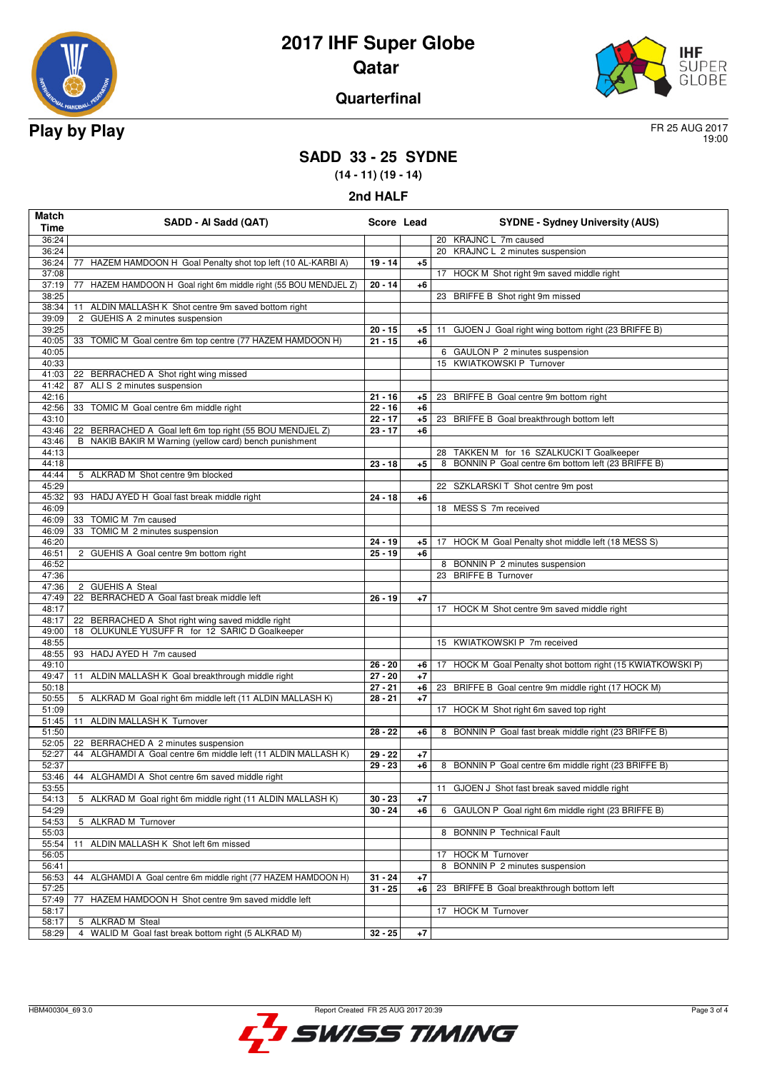



#### **Quarterfinal**

19:00

### **SADD 33 - 25 SYDNE**

**(14 - 11) (19 - 14)**

| Match<br>Time  | SADD - Al Sadd (QAT)                                                    | Score Lead             |            | <b>SYDNE - Sydney University (AUS)</b>                      |
|----------------|-------------------------------------------------------------------------|------------------------|------------|-------------------------------------------------------------|
| 36:24          |                                                                         |                        |            | 20 KRAJNC L 7m caused                                       |
| 36:24          |                                                                         |                        |            | 20 KRAJNC L 2 minutes suspension                            |
| 36:24          | 77 HAZEM HAMDOON H Goal Penalty shot top left (10 AL-KARBI A)           | $19 - 14$              | $+5$       |                                                             |
| 37:08          |                                                                         |                        |            | 17 HOCK M Shot right 9m saved middle right                  |
| 37:19          | 77 HAZEM HAMDOON H Goal right 6m middle right (55 BOU MENDJEL Z)        | $20 - 14$              | $+6$       |                                                             |
| 38:25          |                                                                         |                        |            | 23 BRIFFE B Shot right 9m missed                            |
| 38:34          | 11 ALDIN MALLASH K Shot centre 9m saved bottom right                    |                        |            |                                                             |
| 39:09          | 2 GUEHIS A 2 minutes suspension                                         |                        |            |                                                             |
| 39:25          |                                                                         | $20 - 15$              | +5         | GJOEN J Goal right wing bottom right (23 BRIFFE B)<br>11    |
| 40:05          | 33 TOMIC M Goal centre 6m top centre (77 HAZEM HAMDOON H)               | $21 - 15$              | $+6$       |                                                             |
| 40:05          |                                                                         |                        |            | 6 GAULON P 2 minutes suspension                             |
| 40:33          |                                                                         |                        |            | 15 KWIATKOWSKI P Turnover                                   |
| 41:03          | 22 BERRACHED A Shot right wing missed                                   |                        |            |                                                             |
| 41:42          | 87 ALIS 2 minutes suspension                                            |                        |            |                                                             |
| 42:16<br>42:56 | 33 TOMIC M Goal centre 6m middle right                                  | $21 - 16$<br>$22 - 16$ | +5<br>$+6$ | 23<br>BRIFFE B Goal centre 9m bottom right                  |
| 43:10          |                                                                         | $22 - 17$              | $+5$       | 23 BRIFFE B Goal breakthrough bottom left                   |
| 43:46          | 22 BERRACHED A Goal left 6m top right (55 BOU MENDJEL Z)                | $23 - 17$              | $+6$       |                                                             |
| 43:46          | B NAKIB BAKIR M Warning (yellow card) bench punishment                  |                        |            |                                                             |
| 44:13          |                                                                         |                        |            | 28<br>TAKKEN M for 16 SZALKUCKI T Goalkeeper                |
| 44:18          |                                                                         | $23 - 18$              | $+5$       | BONNIN P Goal centre 6m bottom left (23 BRIFFE B)<br>8      |
| 44:44          | 5 ALKRAD M Shot centre 9m blocked                                       |                        |            |                                                             |
| 45:29          |                                                                         |                        |            | 22 SZKLARSKI T Shot centre 9m post                          |
| 45:32          | 93 HADJ AYED H Goal fast break middle right                             | $24 - 18$              | +6         |                                                             |
| 46:09          |                                                                         |                        |            | 18 MESS S 7m received                                       |
| 46:09          | TOMIC M 7m caused<br>33                                                 |                        |            |                                                             |
| 46:09          | TOMIC M 2 minutes suspension<br>33                                      |                        |            |                                                             |
| 46:20          |                                                                         | $24 - 19$              | +5         | 17 HOCK M Goal Penalty shot middle left (18 MESS S)         |
| 46:51          | 2 GUEHIS A Goal centre 9m bottom right                                  | $25 - 19$              | $+6$       |                                                             |
| 46:52          |                                                                         |                        |            | 8 BONNIN P 2 minutes suspension<br>23 BRIFFE B Turnover     |
| 47:36<br>47:36 | 2 GUEHIS A Steal                                                        |                        |            |                                                             |
| 47:49          | 22 BERRACHED A Goal fast break middle left                              | $26 - 19$              | $+7$       |                                                             |
| 48:17          |                                                                         |                        |            | 17 HOCK M Shot centre 9m saved middle right                 |
| 48:17          | 22 BERRACHED A Shot right wing saved middle right                       |                        |            |                                                             |
| 49:00          | 18 OLUKUNLE YUSUFF R for 12 SARIC D Goalkeeper                          |                        |            |                                                             |
| 48:55          |                                                                         |                        |            | 15 KWIATKOWSKI P 7m received                                |
| 48:55          | 93 HADJ AYED H 7m caused                                                |                        |            |                                                             |
| 49:10          |                                                                         | $26 - 20$              | +6         | 17 HOCK M Goal Penalty shot bottom right (15 KWIATKOWSKI P) |
| 49:47          | ALDIN MALLASH K Goal breakthrough middle right<br>11                    | $\overline{27} - 20$   | $+7$       |                                                             |
| 50:18          |                                                                         | $27 - 21$              | $+6$       | 23 BRIFFE B Goal centre 9m middle right (17 HOCK M)         |
| 50:55          | 5 ALKRAD M Goal right 6m middle left (11 ALDIN MALLASH K)               | $28 - 21$              | $+7$       |                                                             |
| 51:09          |                                                                         |                        |            | 17 HOCK M Shot right 6m saved top right                     |
| 51:45          | 11 ALDIN MALLASH K Turnover                                             |                        |            |                                                             |
| 51:50<br>52:05 | 22 BERRACHED A 2 minutes suspension                                     | $28 - 22$              | $+6$       | 8 BONNIN P Goal fast break middle right (23 BRIFFE B)       |
| 52:27          | 44 ALGHAMDI A Goal centre 6m middle left (11 ALDIN MALLASH K)           | $29 - 22$              | $+7$       |                                                             |
| 52:37          |                                                                         | $29 - 23$              | +6         | 8 BONNIN P Goal centre 6m middle right (23 BRIFFE B)        |
|                | 53:46   44 ALGHAMDI A Shot centre 6m saved middle right                 |                        |            |                                                             |
| 53:55          |                                                                         |                        |            | 11 GJOEN J Shot fast break saved middle right               |
| 54:13          | 5 ALKRAD M Goal right 6m middle right (11 ALDIN MALLASH K)              | $30 - 23$              | $+7$       |                                                             |
| 54:29          |                                                                         | $30 - 24$              | +6         | 6 GAULON P Goal right 6m middle right (23 BRIFFE B)         |
| 54:53          | 5 ALKRAD M Turnover                                                     |                        |            |                                                             |
| 55:03          |                                                                         |                        |            | 8 BONNIN P Technical Fault                                  |
| 55:54          | ALDIN MALLASH K Shot left 6m missed<br>11                               |                        |            |                                                             |
| 56:05          |                                                                         |                        |            | <b>HOCK M Turnover</b><br>17                                |
| 56:41          |                                                                         |                        |            | BONNIN P 2 minutes suspension<br>8                          |
| 56:53          | 44 ALGHAMDI A Goal centre 6m middle right (77 HAZEM HAMDOON H)          | $31 - 24$              | $+7$       |                                                             |
| 57:25          |                                                                         | $31 - 25$              | +6         | BRIFFE B Goal breakthrough bottom left<br>23                |
| 57:49          | HAZEM HAMDOON H Shot centre 9m saved middle left<br>77                  |                        |            |                                                             |
| 58:17          |                                                                         |                        |            | HOCK M Turnover<br>17                                       |
| 58:17<br>58:29 | 5 ALKRAD M Steal<br>4 WALID M Goal fast break bottom right (5 ALKRAD M) | $32 - 25$              | $+7$       |                                                             |
|                |                                                                         |                        |            |                                                             |